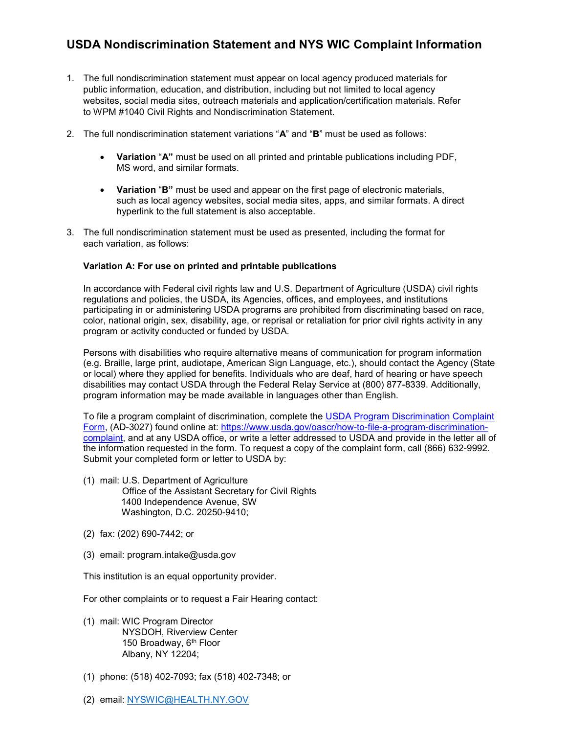## USDA Nondiscrimination Statement and NYS WIC Complaint Information

- 1. The full nondiscrimination statement must appear on local agency produced materials for public information, education, and distribution, including but not limited to local agency websites, social media sites, outreach materials and application/certification materials. Refer to WPM #1040 Civil Rights and Nondiscrimination Statement.
- 2. The full nondiscrimination statement variations "A" and "B" must be used as follows:
	- Variation "A" must be used on all printed and printable publications including PDF, MS word, and similar formats.
	- Variation "B" must be used and appear on the first page of electronic materials, such as local agency websites, social media sites, apps, and similar formats. A direct hyperlink to the full statement is also acceptable.
- 3. The full nondiscrimination statement must be used as presented, including the format for each variation, as follows:

## Variation A: For use on printed and printable publications

In accordance with Federal civil rights law and U.S. Department of Agriculture (USDA) civil rights regulations and policies, the USDA, its Agencies, offices, and employees, and institutions participating in or administering USDA programs are prohibited from discriminating based on race, color, national origin, sex, disability, age, or reprisal or retaliation for prior civil rights activity in any program or activity conducted or funded by USDA.

Persons with disabilities who require alternative means of communication for program information (e.g. Braille, large print, audiotape, American Sign Language, etc.), should contact the Agency (State or local) where they applied for benefits. Individuals who are deaf, hard of hearing or have speech disabilities may contact USDA through the Federal Relay Service at (800) 877-8339. Additionally, program information may be made available in languages other than English.

To file a program complaint of discrimination, complete the USDA Program Discrimination Complaint Form, (AD-3027) found online at: https://www.usda.gov/oascr/how-to-file-a-program-discriminationcomplaint, and at any USDA office, or write a letter addressed to USDA and provide in the letter all of the information requested in the form. To request a copy of the complaint form, call (866) 632-9992. Submit your completed form or letter to USDA by:

- (1) mail: U.S. Department of Agriculture
	- Office of the Assistant Secretary for Civil Rights 1400 Independence Avenue, SW Washington, D.C. 20250-9410;
- (2) fax: (202) 690-7442; or
- (3) email: program.intake@usda.gov

This institution is an equal opportunity provider.

For other complaints or to request a Fair Hearing contact:

- (1) mail: WIC Program Director NYSDOH, Riverview Center 150 Broadway, 6<sup>th</sup> Floor Albany, NY 12204;
- (1) phone: (518) 402-7093; fax (518) 402-7348; or
- (2) email: NYSWIC@HEALTH.NY.GOV